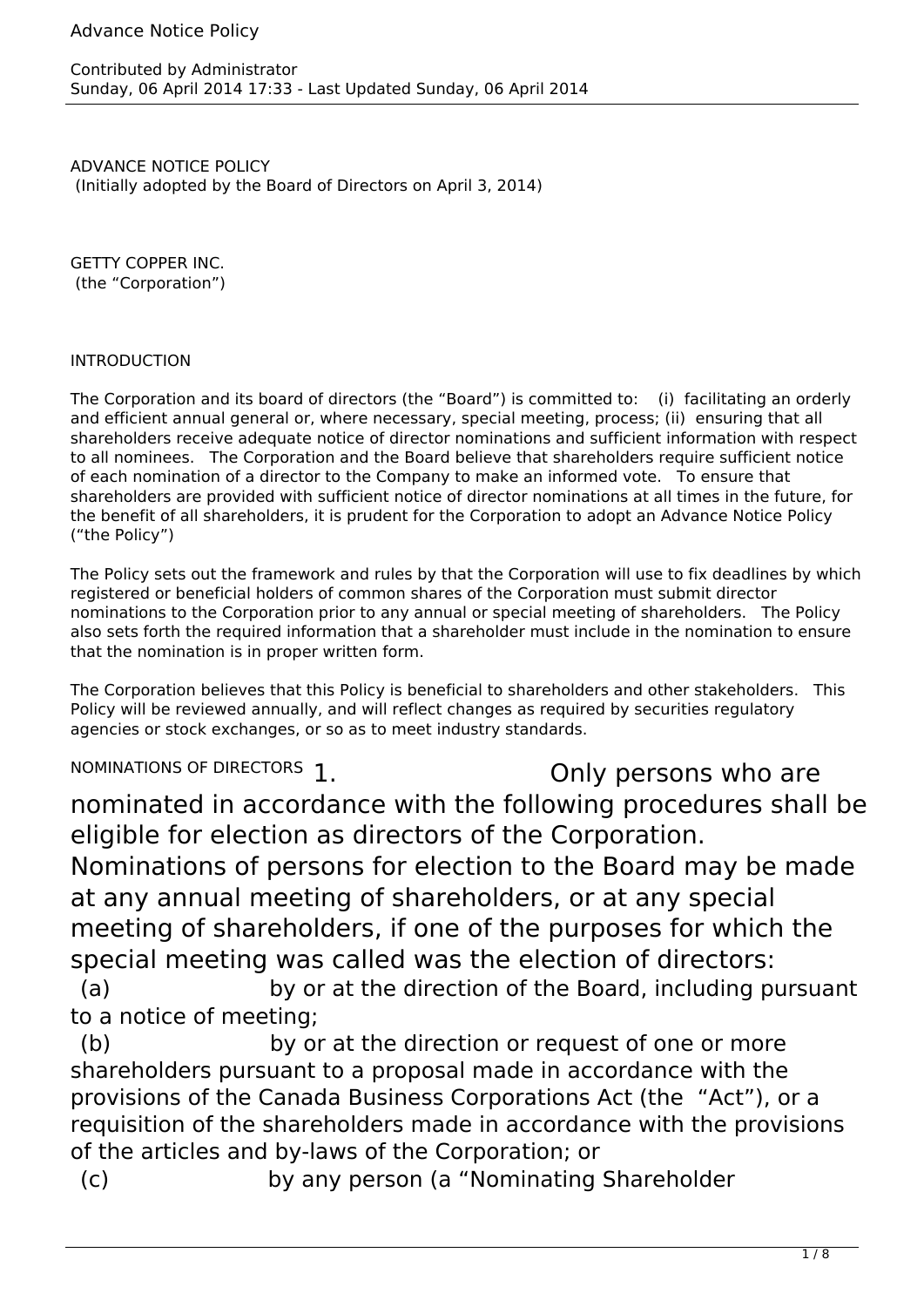## Advance Notice Policy

ADVANCE NOTICE POLICY (Initially adopted by the Board of Directors on April 3, 2014)

GETTY COPPER INC. (the "Corporation")

## INTRODUCTION

The Corporation and its board of directors (the "Board") is committed to: (i) facilitating an orderly and efficient annual general or, where necessary, special meeting, process; (ii) ensuring that all shareholders receive adequate notice of director nominations and sufficient information with respect to all nominees. The Corporation and the Board believe that shareholders require sufficient notice of each nomination of a director to the Company to make an informed vote. To ensure that shareholders are provided with sufficient notice of director nominations at all times in the future, for the benefit of all shareholders, it is prudent for the Corporation to adopt an Advance Notice Policy ("the Policy")

The Policy sets out the framework and rules by that the Corporation will use to fix deadlines by which registered or beneficial holders of common shares of the Corporation must submit director nominations to the Corporation prior to any annual or special meeting of shareholders. The Policy also sets forth the required information that a shareholder must include in the nomination to ensure that the nomination is in proper written form.

The Corporation believes that this Policy is beneficial to shareholders and other stakeholders. This Policy will be reviewed annually, and will reflect changes as required by securities regulatory agencies or stock exchanges, or so as to meet industry standards.

NOMINATIONS OF DIRECTORS 1. CONDUCTED SAMPLE CONDUCTS ONLY PERSONS WHO are nominated in accordance with the following procedures shall be eligible for election as directors of the Corporation.

Nominations of persons for election to the Board may be made at any annual meeting of shareholders, or at any special meeting of shareholders, if one of the purposes for which the special meeting was called was the election of directors:

 (a) by or at the direction of the Board, including pursuant to a notice of meeting;

(b) by or at the direction or request of one or more shareholders pursuant to a proposal made in accordance with the provisions of the Canada Business Corporations Act (the "Act"), or a requisition of the shareholders made in accordance with the provisions of the articles and by-laws of the Corporation; or

(c) by any person (a "Nominating Shareholder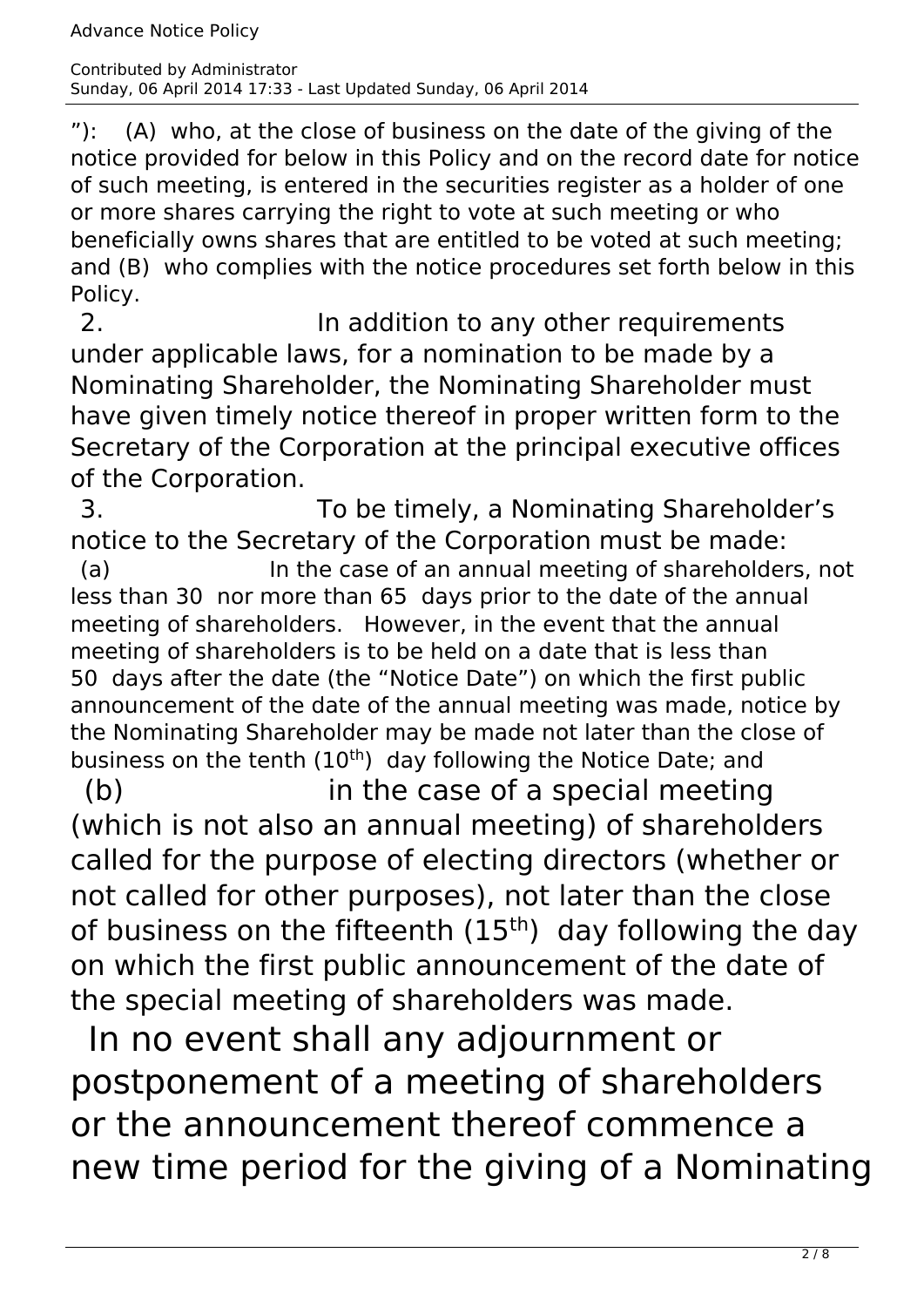"): (A) who, at the close of business on the date of the giving of the notice provided for below in this Policy and on the record date for notice of such meeting, is entered in the securities register as a holder of one or more shares carrying the right to vote at such meeting or who beneficially owns shares that are entitled to be voted at such meeting; and (B) who complies with the notice procedures set forth below in this Policy.

2. a contract the addition to any other requirements under applicable laws, for a nomination to be made by a Nominating Shareholder, the Nominating Shareholder must have given timely notice thereof in proper written form to the Secretary of the Corporation at the principal executive offices of the Corporation.

 3. To be timely, a Nominating Shareholder's notice to the Secretary of the Corporation must be made: (a) In the case of an annual meeting of shareholders, not less than 30 nor more than 65 days prior to the date of the annual meeting of shareholders. However, in the event that the annual meeting of shareholders is to be held on a date that is less than 50 days after the date (the "Notice Date") on which the first public announcement of the date of the annual meeting was made, notice by the Nominating Shareholder may be made not later than the close of business on the tenth (10<sup>th</sup>) day following the Notice Date; and

 (b) in the case of a special meeting (which is not also an annual meeting) of shareholders called for the purpose of electing directors (whether or not called for other purposes), not later than the close of business on the fifteenth  $(15<sup>th</sup>)$  day following the day on which the first public announcement of the date of the special meeting of shareholders was made.

 In no event shall any adjournment or postponement of a meeting of shareholders or the announcement thereof commence a new time period for the giving of a Nominating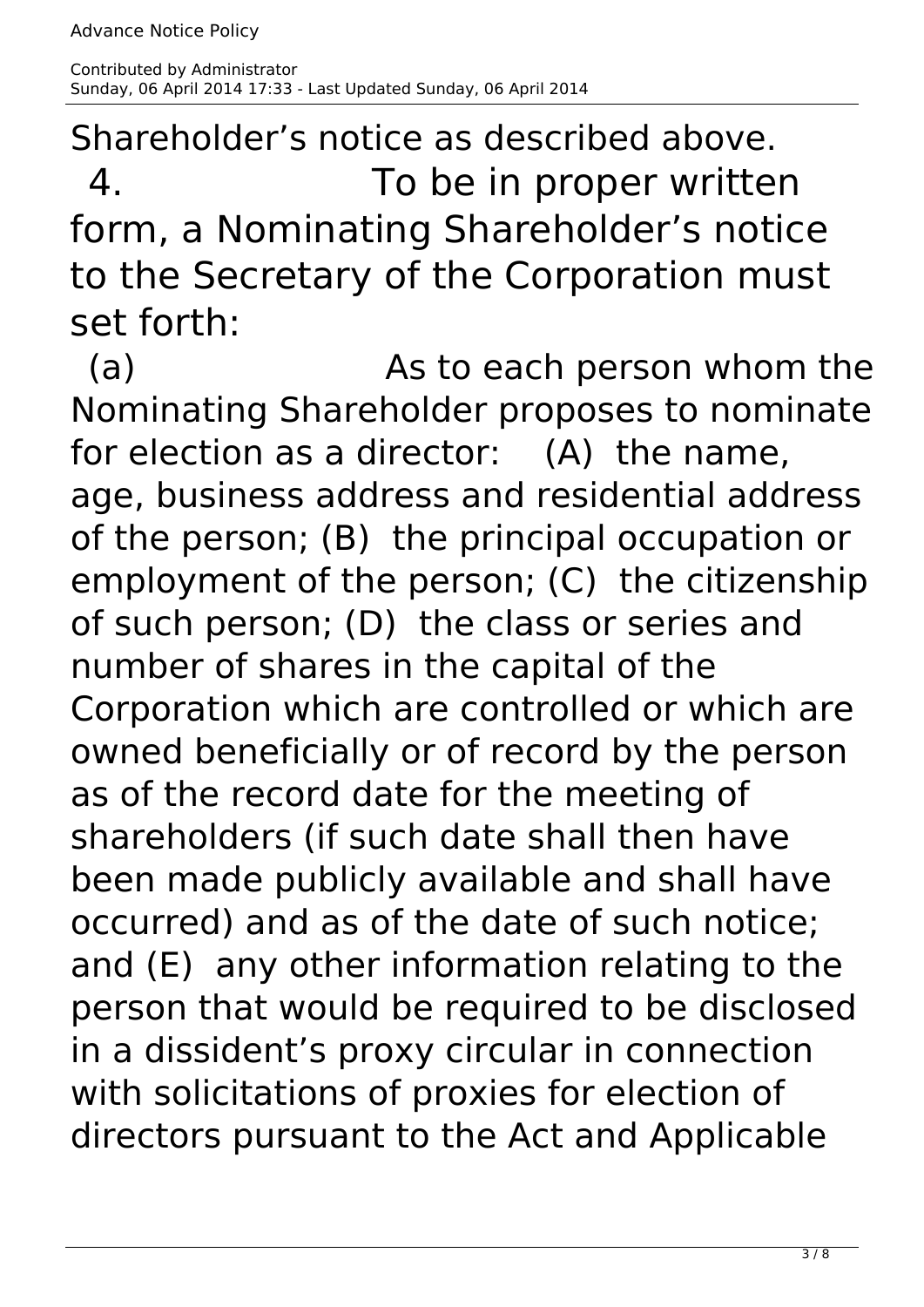Shareholder's notice as described above. 4. To be in proper written form, a Nominating Shareholder's notice to the Secretary of the Corporation must set forth:

(a) Books As to each person whom the Nominating Shareholder proposes to nominate for election as a director: (A) the name, age, business address and residential address of the person; (B) the principal occupation or employment of the person; (C) the citizenship of such person; (D) the class or series and number of shares in the capital of the Corporation which are controlled or which are owned beneficially or of record by the person as of the record date for the meeting of shareholders (if such date shall then have been made publicly available and shall have occurred) and as of the date of such notice; and (E) any other information relating to the person that would be required to be disclosed in a dissident's proxy circular in connection with solicitations of proxies for election of directors pursuant to the Act and Applicable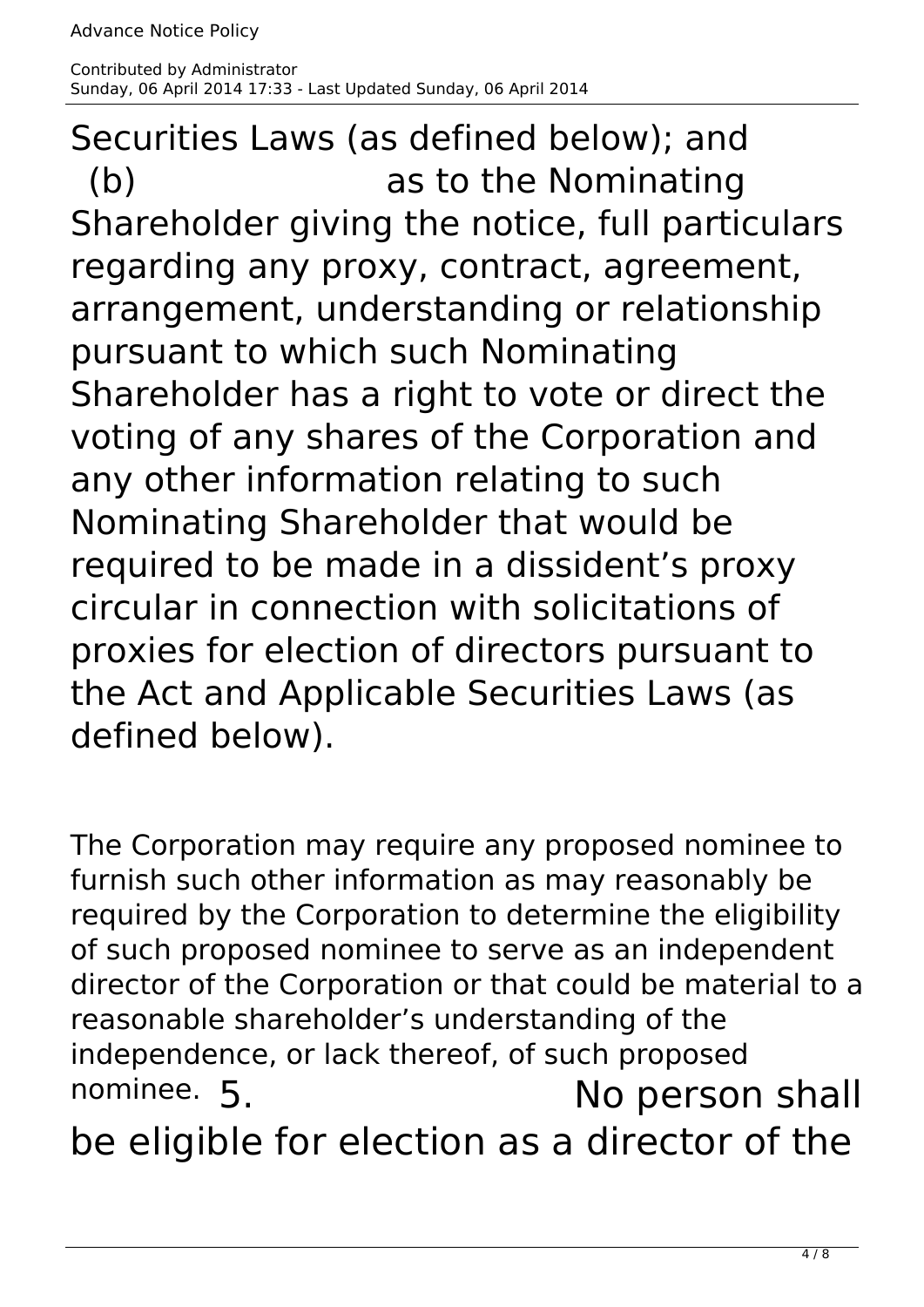Securities Laws (as defined below); and (b) as to the Nominating Shareholder giving the notice, full particulars regarding any proxy, contract, agreement, arrangement, understanding or relationship pursuant to which such Nominating Shareholder has a right to vote or direct the voting of any shares of the Corporation and any other information relating to such Nominating Shareholder that would be required to be made in a dissident's proxy circular in connection with solicitations of proxies for election of directors pursuant to the Act and Applicable Securities Laws (as defined below).

The Corporation may require any proposed nominee to furnish such other information as may reasonably be required by the Corporation to determine the eligibility of such proposed nominee to serve as an independent director of the Corporation or that could be material to a reasonable shareholder's understanding of the independence, or lack thereof, of such proposed nominee. 5. **If No person shall** 

be eligible for election as a director of the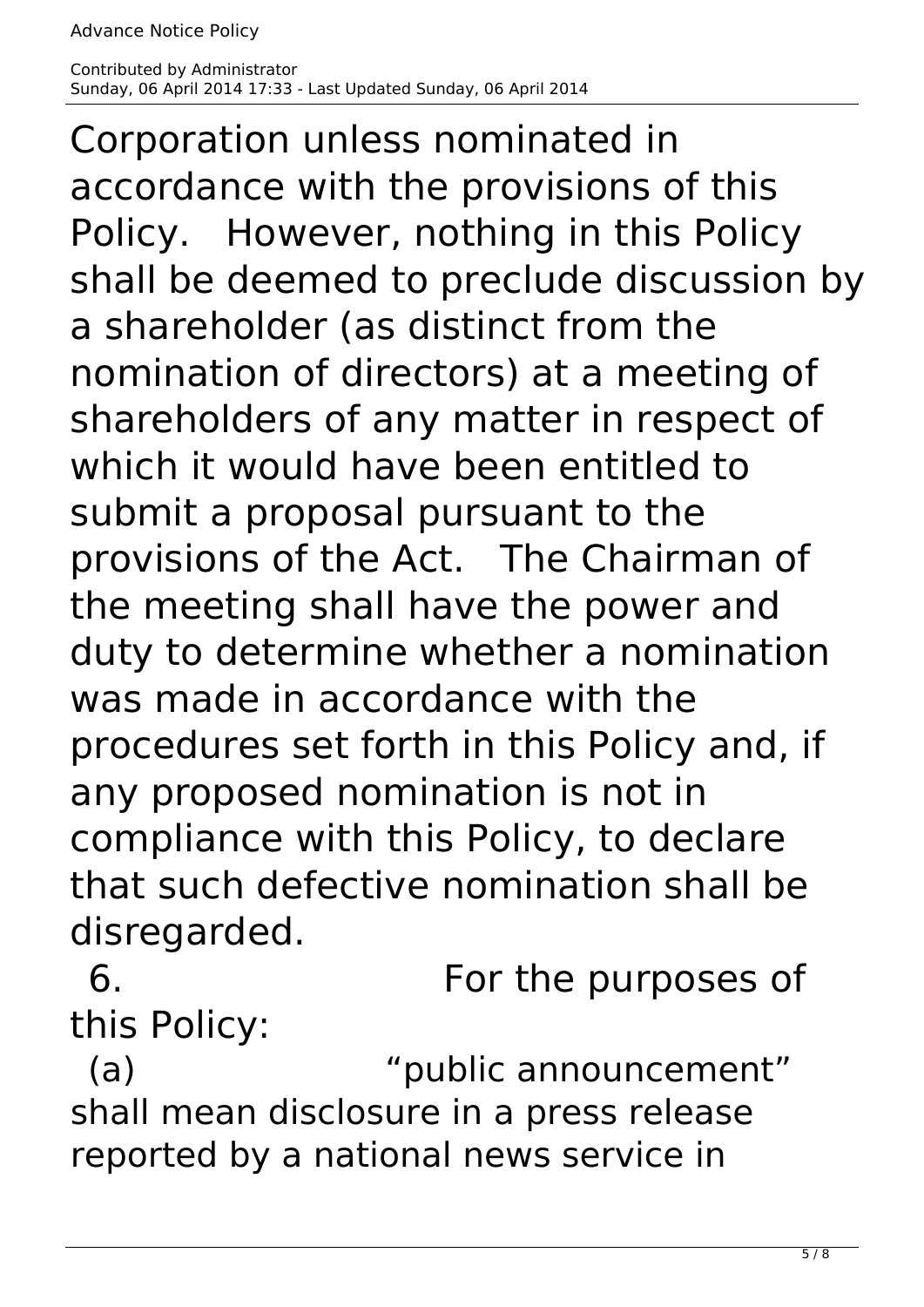Corporation unless nominated in accordance with the provisions of this Policy. However, nothing in this Policy shall be deemed to preclude discussion by a shareholder (as distinct from the nomination of directors) at a meeting of shareholders of any matter in respect of which it would have been entitled to submit a proposal pursuant to the provisions of the Act. The Chairman of the meeting shall have the power and duty to determine whether a nomination was made in accordance with the procedures set forth in this Policy and, if any proposed nomination is not in compliance with this Policy, to declare that such defective nomination shall be disregarded.

 6. For the purposes of this Policy:

(a)  $"public annotation$ shall mean disclosure in a press release reported by a national news service in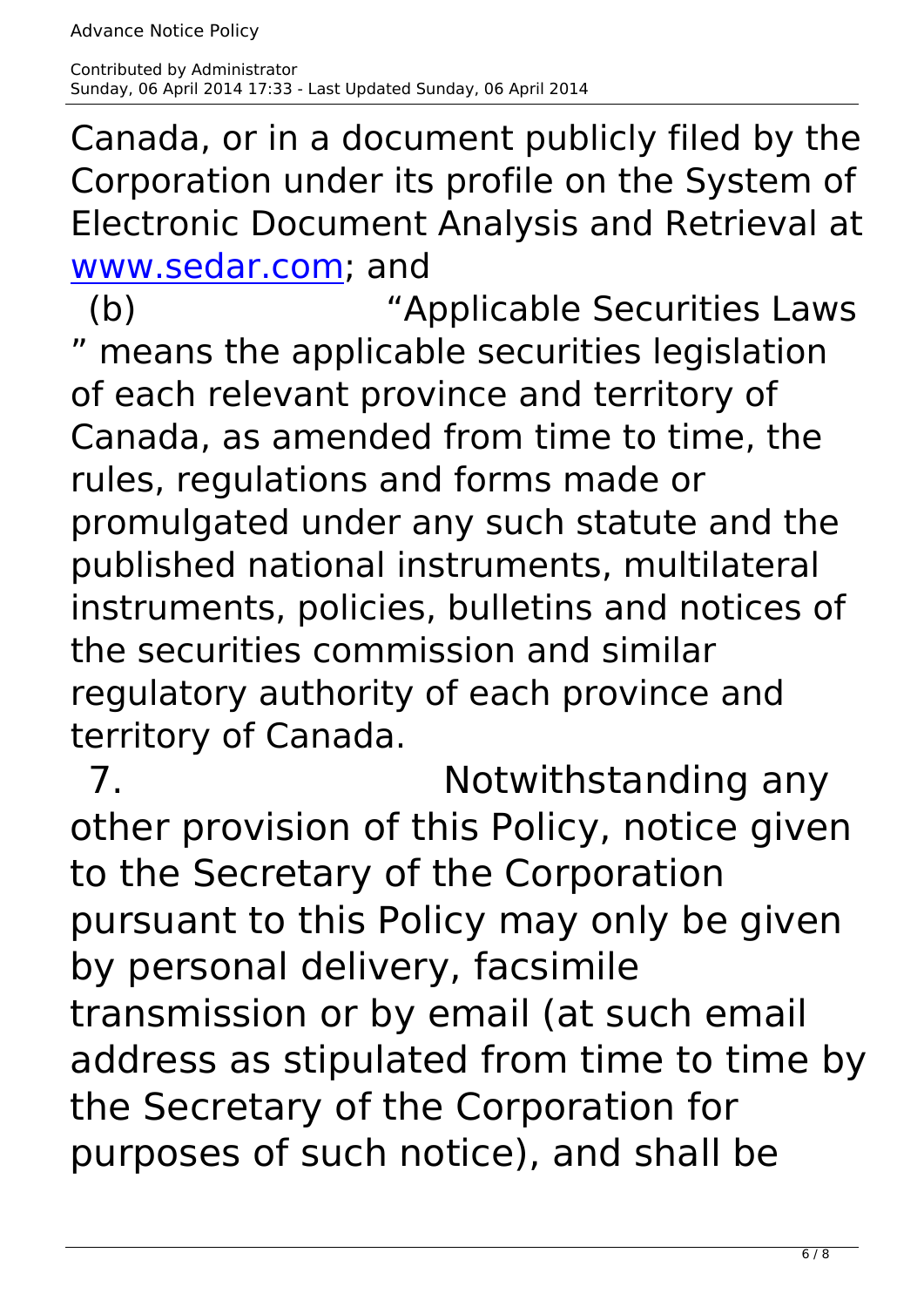Canada, or in a document publicly filed by the Corporation under its profile on the System of Electronic Document Analysis and Retrieval at [www.sedar.com;](http://www.sedar.com) and

 (b) "Applicable Securities Laws " means the applicable securities legislation of each relevant province and territory of Canada, as amended from time to time, the rules, regulations and forms made or promulgated under any such statute and the published national instruments, multilateral instruments, policies, bulletins and notices of the securities commission and similar regulatory authority of each province and territory of Canada.

7. Notwithstanding any other provision of this Policy, notice given to the Secretary of the Corporation pursuant to this Policy may only be given by personal delivery, facsimile transmission or by email (at such email address as stipulated from time to time by the Secretary of the Corporation for purposes of such notice), and shall be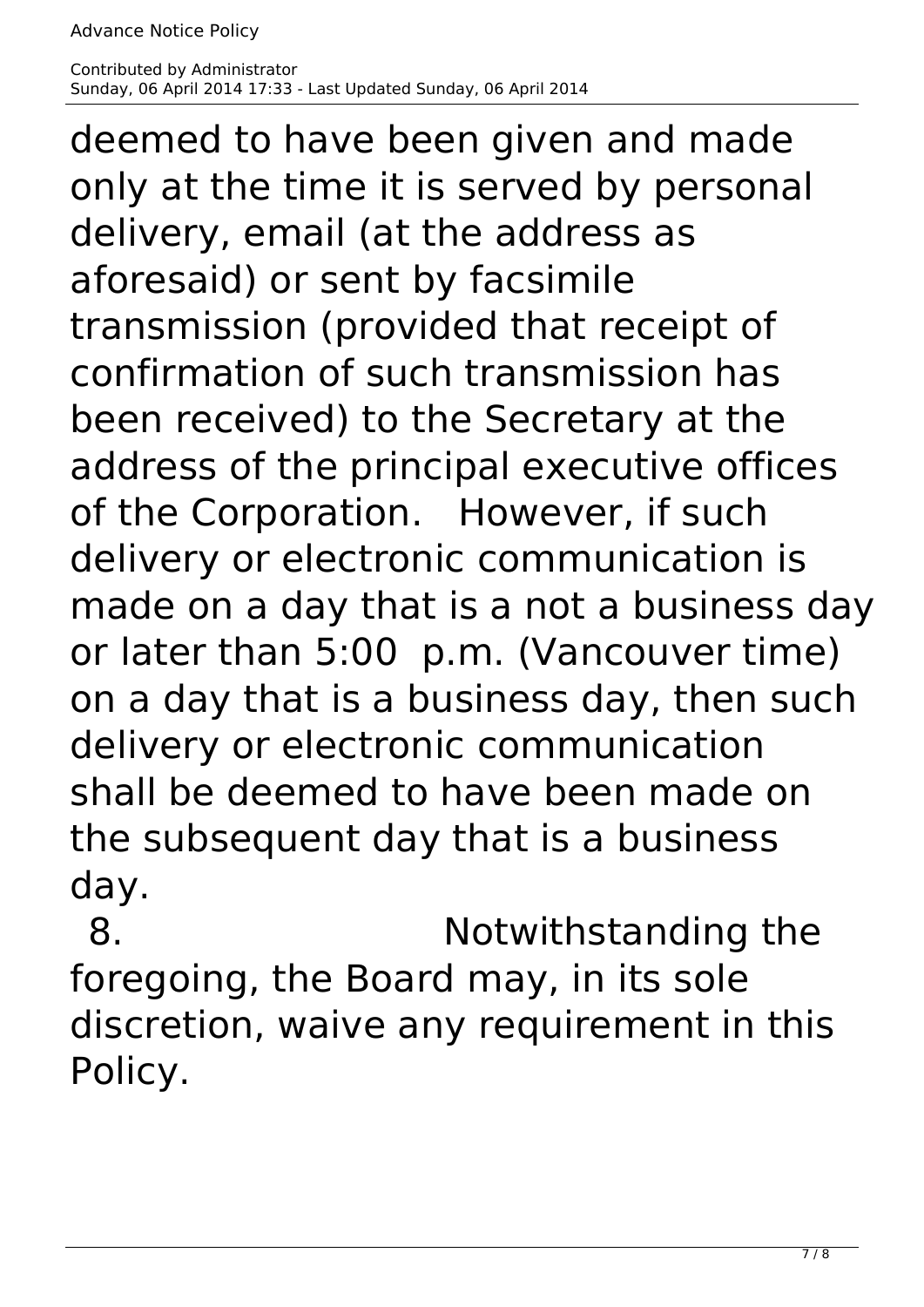deemed to have been given and made only at the time it is served by personal delivery, email (at the address as aforesaid) or sent by facsimile transmission (provided that receipt of confirmation of such transmission has been received) to the Secretary at the address of the principal executive offices of the Corporation. However, if such delivery or electronic communication is made on a day that is a not a business day or later than 5:00 p.m. (Vancouver time) on a day that is a business day, then such delivery or electronic communication shall be deemed to have been made on the subsequent day that is a business day.

 8. Notwithstanding the foregoing, the Board may, in its sole discretion, waive any requirement in this Policy.